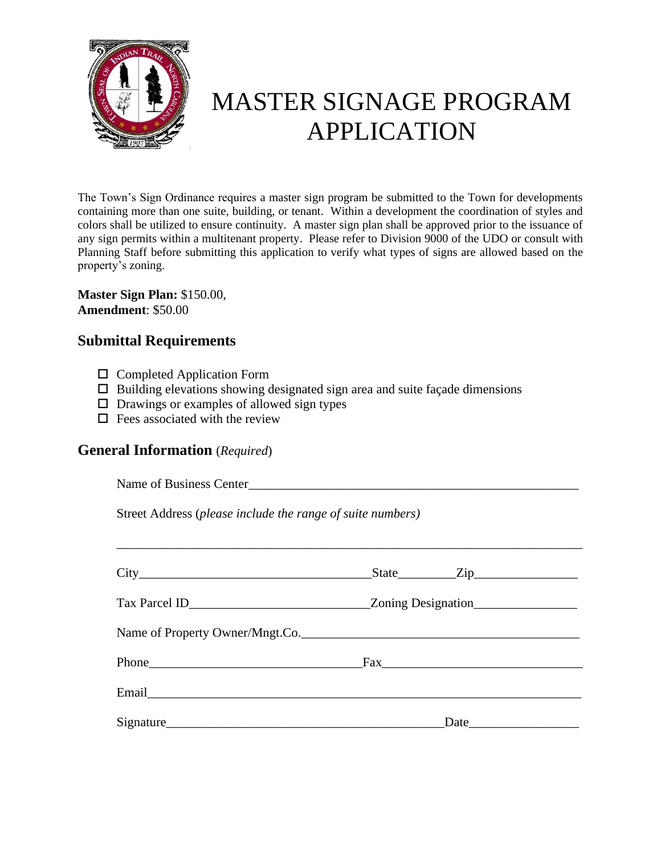

# MASTER SIGNAGE PROGRAM APPLICATION

The Town's Sign Ordinance requires a master sign program be submitted to the Town for developments containing more than one suite, building, or tenant. Within a development the coordination of styles and colors shall be utilized to ensure continuity. A master sign plan shall be approved prior to the issuance of any sign permits within a multitenant property. Please refer to Division 9000 of the UDO or consult with Planning Staff before submitting this application to verify what types of signs are allowed based on the property's zoning.

**Master Sign Plan:** \$150.00, **Amendment**: \$50.00

## **Submittal Requirements**

- $\square$  Completed Application Form
- $\Box$  Building elevations showing designated sign area and suite façade dimensions
- $\Box$  Drawings or examples of allowed sign types
- $\Box$  Fees associated with the review

### **General Information** (*Required*)

| $City$ $City$ $Step$ $Zip$      |
|---------------------------------|
|                                 |
| Name of Property Owner/Mngt.Co. |
|                                 |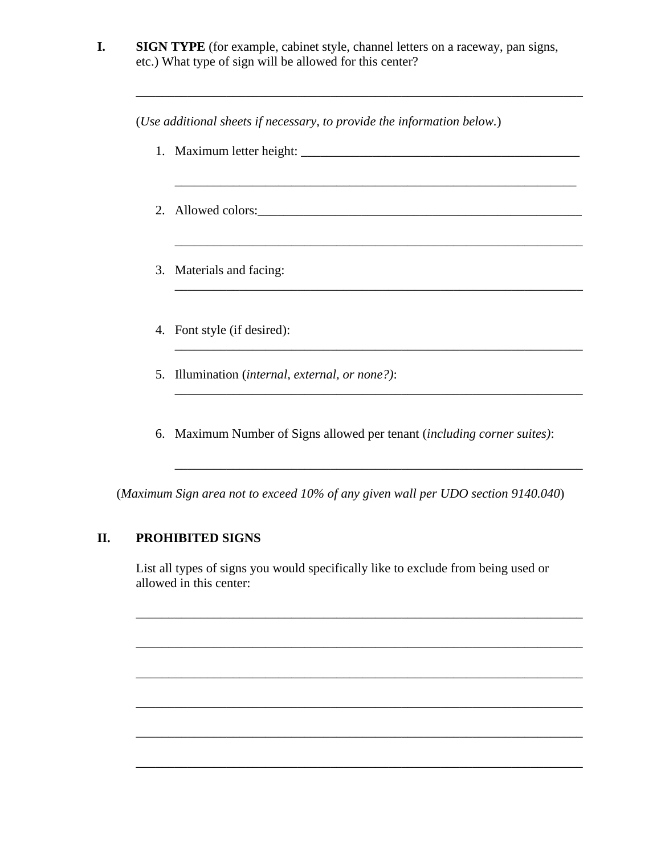| <b>SIGN TYPE</b> (for example, cabinet style, channel letters on a raceway, pan signs, |
|----------------------------------------------------------------------------------------|
| etc.) What type of sign will be allowed for this center?                               |

\_\_\_\_\_\_\_\_\_\_\_\_\_\_\_\_\_\_\_\_\_\_\_\_\_\_\_\_\_\_\_\_\_\_\_\_\_\_\_\_\_\_\_\_\_\_\_\_\_\_\_\_\_\_\_\_\_\_\_\_\_\_\_\_\_\_\_\_\_

(*Use additional sheets if necessary, to provide the information below.*) 1. Maximum letter height: \_\_\_\_\_\_\_\_\_\_\_\_\_\_\_\_\_\_\_\_\_\_\_\_\_\_\_\_\_\_\_\_\_\_\_\_\_\_\_\_\_\_\_ \_\_\_\_\_\_\_\_\_\_\_\_\_\_\_\_\_\_\_\_\_\_\_\_\_\_\_\_\_\_\_\_\_\_\_\_\_\_\_\_\_\_\_\_\_\_\_\_\_\_\_\_\_\_\_\_\_\_\_\_\_\_ 2. Allowed colors:\_\_\_\_\_\_\_\_\_\_\_\_\_\_\_\_\_\_\_\_\_\_\_\_\_\_\_\_\_\_\_\_\_\_\_\_\_\_\_\_\_\_\_\_\_\_\_\_\_\_ \_\_\_\_\_\_\_\_\_\_\_\_\_\_\_\_\_\_\_\_\_\_\_\_\_\_\_\_\_\_\_\_\_\_\_\_\_\_\_\_\_\_\_\_\_\_\_\_\_\_\_\_\_\_\_\_\_\_\_\_\_\_\_ 3. Materials and facing: \_\_\_\_\_\_\_\_\_\_\_\_\_\_\_\_\_\_\_\_\_\_\_\_\_\_\_\_\_\_\_\_\_\_\_\_\_\_\_\_\_\_\_\_\_\_\_\_\_\_\_\_\_\_\_\_\_\_\_\_\_\_\_ 4. Font style (if desired): \_\_\_\_\_\_\_\_\_\_\_\_\_\_\_\_\_\_\_\_\_\_\_\_\_\_\_\_\_\_\_\_\_\_\_\_\_\_\_\_\_\_\_\_\_\_\_\_\_\_\_\_\_\_\_\_\_\_\_\_\_\_\_ 5. Illumination (*internal, external, or none?)*: \_\_\_\_\_\_\_\_\_\_\_\_\_\_\_\_\_\_\_\_\_\_\_\_\_\_\_\_\_\_\_\_\_\_\_\_\_\_\_\_\_\_\_\_\_\_\_\_\_\_\_\_\_\_\_\_\_\_\_\_\_\_\_ 6. Maximum Number of Signs allowed per tenant (*including corner suites)*:

(*Maximum Sign area not to exceed 10% of any given wall per UDO section 9140.040*)

\_\_\_\_\_\_\_\_\_\_\_\_\_\_\_\_\_\_\_\_\_\_\_\_\_\_\_\_\_\_\_\_\_\_\_\_\_\_\_\_\_\_\_\_\_\_\_\_\_\_\_\_\_\_\_\_\_\_\_\_\_\_\_

#### **II. PROHIBITED SIGNS**

List all types of signs you would specifically like to exclude from being used or allowed in this center:

\_\_\_\_\_\_\_\_\_\_\_\_\_\_\_\_\_\_\_\_\_\_\_\_\_\_\_\_\_\_\_\_\_\_\_\_\_\_\_\_\_\_\_\_\_\_\_\_\_\_\_\_\_\_\_\_\_\_\_\_\_\_\_\_\_\_\_\_\_

\_\_\_\_\_\_\_\_\_\_\_\_\_\_\_\_\_\_\_\_\_\_\_\_\_\_\_\_\_\_\_\_\_\_\_\_\_\_\_\_\_\_\_\_\_\_\_\_\_\_\_\_\_\_\_\_\_\_\_\_\_\_\_\_\_\_\_\_\_

\_\_\_\_\_\_\_\_\_\_\_\_\_\_\_\_\_\_\_\_\_\_\_\_\_\_\_\_\_\_\_\_\_\_\_\_\_\_\_\_\_\_\_\_\_\_\_\_\_\_\_\_\_\_\_\_\_\_\_\_\_\_\_\_\_\_\_\_\_

\_\_\_\_\_\_\_\_\_\_\_\_\_\_\_\_\_\_\_\_\_\_\_\_\_\_\_\_\_\_\_\_\_\_\_\_\_\_\_\_\_\_\_\_\_\_\_\_\_\_\_\_\_\_\_\_\_\_\_\_\_\_\_\_\_\_\_\_\_

\_\_\_\_\_\_\_\_\_\_\_\_\_\_\_\_\_\_\_\_\_\_\_\_\_\_\_\_\_\_\_\_\_\_\_\_\_\_\_\_\_\_\_\_\_\_\_\_\_\_\_\_\_\_\_\_\_\_\_\_\_\_\_\_\_\_\_\_\_

\_\_\_\_\_\_\_\_\_\_\_\_\_\_\_\_\_\_\_\_\_\_\_\_\_\_\_\_\_\_\_\_\_\_\_\_\_\_\_\_\_\_\_\_\_\_\_\_\_\_\_\_\_\_\_\_\_\_\_\_\_\_\_\_\_\_\_\_\_